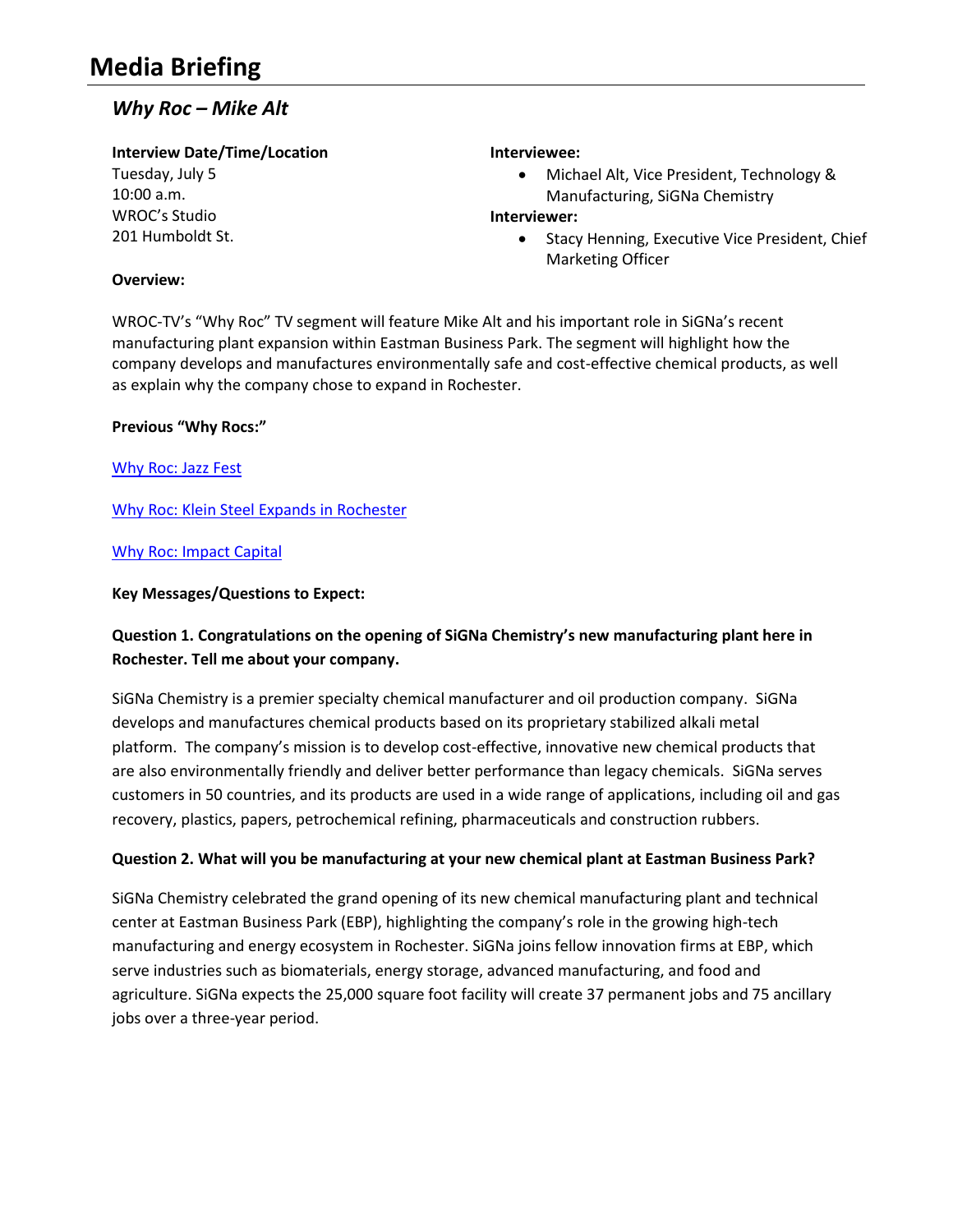# *Why Roc – Mike Alt*

## **Interview Date/Time/Location**

Tuesday, July 5 10:00 a.m. WROC's Studio 201 Humboldt St.

#### **Interviewee:**

 Michael Alt, Vice President, Technology & Manufacturing, SiGNa Chemistry

#### **Interviewer:**

• Stacy Henning, Executive Vice President, Chief Marketing Officer

## **Overview:**

WROC-TV's "Why Roc" TV segment will feature Mike Alt and his important role in SiGNa's recent manufacturing plant expansion within Eastman Business Park. The segment will highlight how the company develops and manufactures environmentally safe and cost-effective chemical products, as well as explain why the company chose to expand in Rochester.

## **Previous "Why Rocs:"**

[Why Roc: Jazz Fest](http://www.rochesterfirst.com/news/local-news/why-roc-jazz-fest) 

[Why Roc: Klein Steel Expands in Rochester](http://www.rochesterfirst.com/news/local-news/why-roc-klein-steel-expands-in-rochester)

#### [Why Roc: Impact Capital](http://www.rochesterfirst.com/news/local-news/why-roc-impact-capital)

## **Key Messages/Questions to Expect:**

# **Question 1. Congratulations on the opening of SiGNa Chemistry's new manufacturing plant here in Rochester. Tell me about your company.**

SiGNa Chemistry is a premier specialty chemical manufacturer and oil production company. SiGNa develops and manufactures chemical products based on its proprietary stabilized alkali metal platform. The company's mission is to develop cost-effective, innovative new chemical products that are also environmentally friendly and deliver better performance than legacy chemicals. SiGNa serves customers in 50 countries, and its products are used in a wide range of applications, including oil and gas recovery, plastics, papers, petrochemical refining, pharmaceuticals and construction rubbers.

## **Question 2. What will you be manufacturing at your new chemical plant at Eastman Business Park?**

SiGNa Chemistry celebrated the grand opening of its new chemical manufacturing plant and technical center at Eastman Business Park (EBP), highlighting the company's role in the growing high-tech manufacturing and energy ecosystem in Rochester. SiGNa joins fellow innovation firms at EBP, which serve industries such as biomaterials, energy storage, advanced manufacturing, and food and agriculture. SiGNa expects the 25,000 square foot facility will create 37 permanent jobs and 75 ancillary jobs over a three-year period.